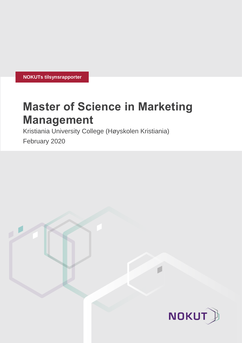**NOKUTs tilsynsrapporter**

# **Master of Science in Marketing Management**

Kristiania University College (Høyskolen Kristiania)

February 2020

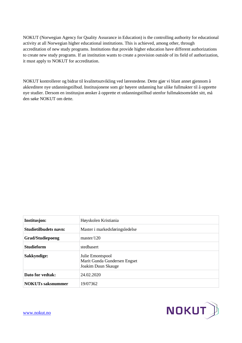NOKUT (Norwegian Agency for Quality Assurance in Education) is the controlling authority for educational activity at all Norwegian higher educational institutions. This is achieved, among other, through accreditation of new study programs. Institutions that provide higher education have different authorizations to create new study programs. If an institution wants to create a provision outside of its field of authorization, it must apply to NOKUT for accreditation.

NOKUT kontrollerer og bidrar til kvalitetsutvikling ved lærestedene. Dette gjør vi blant annet gjennom å akkreditere nye utdanningstilbud. Institusjonene som gir høyere utdanning har ulike fullmakter til å opprette nye studier. Dersom en institusjon ønsker å opprette et utdanningstilbud utenfor fullmaktsområdet sitt, må den søke NOKUT om dette.

| <b>Institusjon:</b>          | Høyskolen Kristiania                                                   |
|------------------------------|------------------------------------------------------------------------|
| <b>Studietilbudets navn:</b> | Master i markedsføringsledelse                                         |
| <b>Grad/Studiepoeng</b>      | master/120                                                             |
| <b>Studieform</b>            | stedbasert                                                             |
| Sakkyndige:                  | Julie Emontspool<br>Marit Gunda Gundersen Engset<br>Joakim Duun Skauge |
| Dato for vedtak:             | 24.02.2020                                                             |
| <b>NOKUTs saksnummer</b>     | 19/07362                                                               |

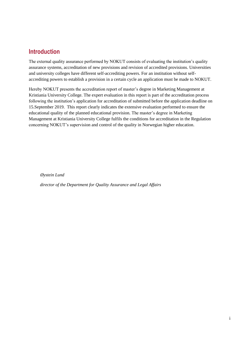# **Introduction**

The external quality assurance performed by NOKUT consists of evaluating the institution's quality assurance systems, accreditation of new provisions and revision of accredited provisions. Universities and university colleges have different self-accrediting powers. For an institution without selfaccrediting powers to establish a provision in a certain cycle an application must be made to NOKUT.

Hereby NOKUT presents the accreditation report of master's degree in Marketing Management at Kristiania University College. The expert evaluation in this report is part of the accreditation process following the institution's application for accreditation of submitted before the application deadline on 15.September 2019. This report clearly indicates the extensive evaluation performed to ensure the educational quality of the planned educational provision. The master's degree in Marketing Management at Kristiania University College fulfils the conditions for accreditation in the Regulation concerning NOKUT's supervision and control of the quality in Norwegian higher education.

*Øystein Lund*

 *director of the Department for Quality Assurance and Legal Affairs*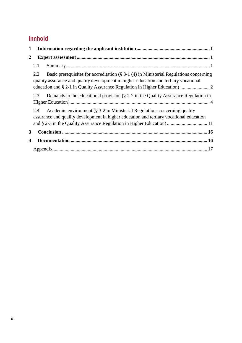# **Innhold**

| 1            |     |                                                                                                                                                                                                                                                  |  |
|--------------|-----|--------------------------------------------------------------------------------------------------------------------------------------------------------------------------------------------------------------------------------------------------|--|
| $\mathbf{2}$ |     |                                                                                                                                                                                                                                                  |  |
|              | 2.1 |                                                                                                                                                                                                                                                  |  |
|              | 2.2 | Basic prerequisites for accreditation ( $\S$ 3-1 (4) in Ministerial Regulations concerning<br>quality assurance and quality development in higher education and tertiary vocational                                                              |  |
|              | 2.3 | Demands to the educational provision $(S_2-2$ in the Quality Assurance Regulation in                                                                                                                                                             |  |
|              | 2.4 | Academic environment $(S_3-2$ in Ministerial Regulations concerning quality<br>assurance and quality development in higher education and tertiary vocational education<br>and § 2-3 in the Quality Assurance Regulation in Higher Education)  11 |  |
| 3            |     |                                                                                                                                                                                                                                                  |  |
| 4            |     |                                                                                                                                                                                                                                                  |  |
|              |     |                                                                                                                                                                                                                                                  |  |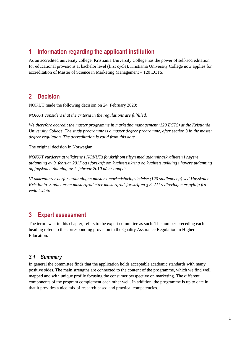# <span id="page-4-0"></span>**1 Information regarding the applicant institution**

As an accredited university college, Kristiania University College has the power of self-accreditation for educational provisions at bachelor level (first cycle). Kristiania University College now applies for accreditation of Master of Science in Marketing Management – 120 ECTS.

# **2 Decision**

NOKUT made the following decision on 24. February 2020:

*NOKUT considers that the criteria in the regulations are fulfilled.* 

*We therefore accredit the master programme in marketing management (120 ECTS) at the Kristiania University College. The study programme is a master degree programme, after section 3 in the master degree regulation. The accreditation is valid from this date.* 

The original decision in Norwegian:

*NOKUT vurderer at vilkårene i NOKUTs forskrift om tilsyn med utdanningskvaliteten i høyere utdanning av 9. februar 2017 og i forskrift om kvalitetssikring og kvalitetsutvikling i høyere utdanning og fagskoleutdanning av 1. februar 2010 nå er oppfylt.*

*Vi akkrediterer derfor utdanningen master i markedsføringsledelse (120 studiepoeng) ved Høyskolen Kristiania. Studiet er en mastergrad etter mastergradsforskriften § 3. Akkrediteringen er gyldig fra vedtaksdato.*

# <span id="page-4-1"></span>**3 Expert assessment**

The term «we» in this chapter, refers to the expert committee as such. The number preceding each heading refers to the corresponding provision in the Quality Assurance Regulation in Higher Education.

# <span id="page-4-2"></span>*3.1 Summary*

In general the committee finds that the application holds acceptable academic standards with many positive sides. The main strengths are connected to the content of the programme, which we find well mapped and with unique profile focusing the consumer perspective on marketing. The different components of the program complement each other well. In addition, the programme is up to date in that it provides a nice mix of research based and practical competencies.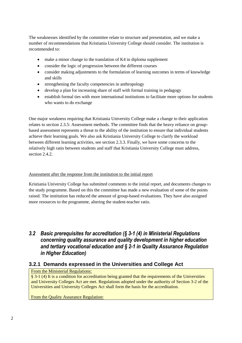The weaknesses identified by the committee relate to structure and presentation, and we make a number of recommendations that Kristiania University College should consider. The institution is recommended to:

- make a minor change to the translation of K4 in diploma supplement
- consider the logic of progression between the different courses
- consider making adjustments to the formulation of learning outcomes in terms of knowledge and skills
- strengthening the faculty competencies in anthropology
- develop a plan for increasing share of staff with formal training in pedagogy
- establish formal ties with more international institutions to facilitate more options for students who wants to do exchange

One major weakness requiring that Kristiania University College make a change to their application relates to section 2.3.5: Assessment methods. The committee finds that the heavy reliance on groupbased assessment represents a threat to the ability of the institution to ensure that individual students achieve their learning goals. We also ask Kristiania University College to clarify the workload between different learning activities, see section 2.3.3. Finally, we have some concerns to the relatively high ratio between students and staff that Kristiania University College must address, section 2.4.2.

#### Assessment after the response from the institution to the initial report

Kristiania University College has submitted comments to the initial report, and documents changes to the study programme. Based on this the committee has made a new evaluation of some of the points raised. The institution has reduced the amount of group-based evaluations. They have also assigned more resources to the programme, altering the student-teacher ratio.

# <span id="page-5-0"></span>*3.2 Basic prerequisites for accreditation (§ 3-1 (4) in Ministerial Regulations concerning quality assurance and quality development in higher education and tertiary vocational education and § 2-1 in Quality Assurance Regulation in Higher Education)*

# **3.2.1 Demands expressed in the Universities and College Act**

#### From the Ministerial Regulations:

§ 3-1 (4) It is a condition for accreditation being granted that the requirements of the Universities and University Colleges Act are met. Regulations adopted under the authority of Section 3-2 of the [Universities and University Colleges Act](http://www.lovdata.no/pro#reference/lov/2005-04-01-15/§3-2) shall form the basis for the accreditation.

From the Quality Assurance Regulation: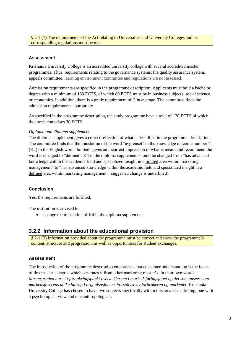§ 2-1 (1) The requirements of the Act relating to Universities and University Colleges and its corresponding regulations must be met.

#### **Assessment**

Kristiania University College is an accredited university collage with several accredited master programmes. Thus, requirements relating to the governance systems, the quality assurance system, appeals committee, learning environment committee and regulations are not assessed.

Admission requirements are specified in the programme description. Applicants must hold a bachelor degree with a minimum of 180 ECTS, of which 80 ECTS must be in business subjects, social science, or economics. In addition, there is a grade requirement of C in average. The committee finds the admission requirements appropriate.

As specified in the programme description, the study programme have a total of 120 ECTS of which the thesis comprises 30 ECTS.

#### *Diploma and diploma supplement*

The diploma supplement gives a correct reflection of what is described in the programme description. The committee finds that the translation of the word "avgrenset" in the knowledge outcome number 4 (K4) to the English word "limited" gives an incorrect impression of what is meant and recommend the word is changed to "defined". K4 in the diploma supplement should be changed from "has advanced knowledge within the academic field and specialized insight in a limited area within marketing management" to "has advanced knowledge within the academic field and specialized insight in a defined area within marketing management" (suggested change is underlined).

#### **Conclusion**

Yes, the requirements are fulfilled.

The institution is advised to:

• change the translation of K4 in the diploma supplement

# **3.2.2 Information about the educational provision**

§ 2-1 (2) Information provided about the programme must be correct and show the programme's content, structure and progression, as well as opportunities for student exchanges.

#### **Assessment**

The introduction of the programme description emphasises that consumer understanding is the focus of this master's degree which separates it from other marketing master's. In their own words: *Mastergraden har sitt forankringspunkt i selve kjernen i markedsføringsfaget og det som ansees som markedsførerens unike bidrag i organisasjonen: Forståelse av forbrukeren og markedet*. Kristiania University College has chosen to have two subjects specifically within this area of marketing, one with a psychological view and one anthropological.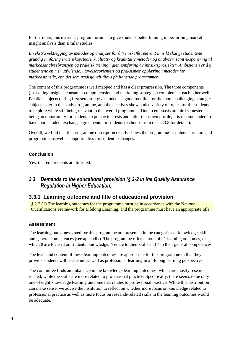Furthermore, this master's programme aims to give students better training in performing market insight analysis than similar studies:

*En ekstra vektlegging av metoder og analyser for å fremskaffe relevant innsikt skal gi studentene grundig innføring i vitenskapsteori, kvalitativ og kvantitativ metoder og analyser, samt eksponering til markedsanalysebransjen og praktisk trening i gjennomføring av innsiktsprosjekter. Ambisjonen er å gi studentene en mer utfyllende, utøvelsesorientert og praksisnær opplæring i metoder for markedsinnsikt, enn det som tradisjonelt tilbys på lignende programmer.*

The content of this programme is well mapped and has a clear progression. The three components (marketing insights, consumer comprehension and marketing strategies) complement each other well. Parallel subjects during first semester give students a good baseline for the more challenging strategic subjects later in the study programme, and the electives show a nice variety of topics for the students to explore while still being relevant to the overall programme. Due to emphasis on third semester being an opportunity for students to pursue interests and tailor their own profile, it is recommended to have more student exchange agreements for students to choose from (see 2.3.8 for details).

Overall, we find that the programme description clearly shows the programme's content, structure and progression, as well as opportunities for student exchanges.

#### **Conclusion**

Yes, the requirements are fulfilled.

# <span id="page-7-0"></span>*3.3 Demands to the educational provision (§ 2-2 in the Quality Assurance Regulation in Higher Education)*

# **3.3.1 Learning outcome and title of educational provision**

§ 2-2 (1) The learning outcomes for the programme must be in accordance with the National Qualifications Framework for Lifelong Learning, and the programme must have an appropriate title.

#### **Assessment**

The learning outcomes stated for this programme are presented in the categories of knowledge, skills and general competences (see appendix). The programme offers a total of 21 learning outcomes, of which 8 are focused on students' knowledge, 6 relate to their skills and 7 to their general competences.

The level and content of these learning outcomes are appropriate for this programme in that they provide students with academic as well as professional learning in a lifelong learning perspective.

The committee finds an imbalance in the knowledge learning outcomes, which are mostly researchrelated, while the skills are more related to professional practice. Specifically, there seems to be only one of eight knowledge learning outcome that relates to professional practice. While this distribution can make sense, we advise the institution to reflect on whether more focus on knowledge related to professional practice as well as more focus on research-related skills in the learning outcomes would be adequate.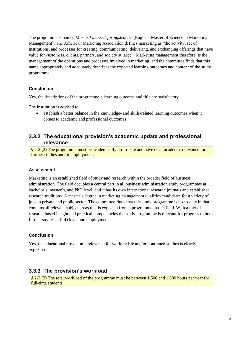The programme is named *Master I markedsføringsledelse* [English: Master of Science in Marketing Management]. The American Marketing Association defines marketing as "the activity, set of institutions, and processes for creating, communicating, delivering, and exchanging offerings that have value for customers, clients, partners, and society at large". Marketing management therefore, is the management of the operations and processes involved in marketing, and the committee finds that this name appropriately and adequately describes the expected learning outcomes and content of the study programme.

# **Conclusion**

Yes, the descriptions of the programme's learning outcome and title are satisfactory.

The institution is advised to:

• establish a better balance in the knowledge- and skills-related learning outcomes when it comes to academic and professional outcomes

# **3.3.2 The educational provision's academic update and professional relevance**

§ 2-2 (2) The programme must be academically up-to-date and have clear academic relevance for further studies and/or employment.

#### **Assessment**

Marketing is an established field of study and research within the broader field of business administration. The field occupies a central part in all business administration study programmes at bachelor's, master's, and PhD level, and it has its own international research journals and established research traditions. A master's degree in marketing management qualifies candidates for a variety of jobs in private and public sector. The committee finds that this study programme is up-to-date in that it contains all relevant subject areas that is expected from a programme in this field. With a mix of research based insight and practical competencies the study programme is relevant for progress to both further studies at PhD level and employment.

#### **Conclusion**

Yes, the educational provision's relevance for working life and/or continued studies is clearly expressed.

# **3.3.3 The provision's workload**

§ 2-2 (3) The total workload of the programme must be between 1,500 and 1,800 hours per year for full-time students.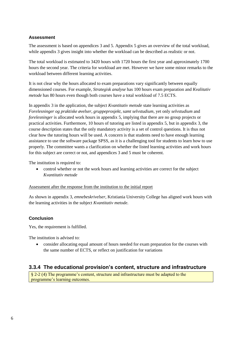#### **Assessment**

The assessment is based on appendices 3 and 5. Appendix 5 gives an overview of the total workload, while appendix 3 gives insight into whether the workload can be described as realistic or not.

The total workload is estimated to 3420 hours with 1720 hours the first year and approximately 1700 hours the second year. The criteria for workload are met. However we have some minor remarks to the workload between different learning activities.

It is not clear why the hours allocated to exam preparations vary significantly between equally dimensioned courses. For example, *Strategisk analyse* has 100 hours exam preparation and *Kvalitativ metode* has 80 hours even though both courses have a total workload of 7.5 ECTS.

In appendix 3 in the application, the subject *Kvantitativ metode* state learning activities as *Forelesninger og praktiske øvelser, gruppeprosjekt, samt selvstudium*, yet only *selvstudium* and *forelesninger* is allocated work hours in appendix 5, implying that there are no group projects or practical activities. Furthermore, 10 hours of tutoring are listed in appendix 5, but in appendix 3, the course description states that the only mandatory activity is a set of control questions. It is thus not clear how the tutoring hours will be used. A concern is that students need to have enough learning assistance to use the software package SPSS, as it is a challenging tool for students to learn how to use properly. The committee wants a clarification on whether the listed learning activities and work hours for this subject are correct or not, and appendices 3 and 5 must be coherent.

The institution is required to:

• control whether or not the work hours and learning activities are correct for the subject *Kvantitativ metode*

#### Assessment after the response from the institution to the initial report

As shown in appendix 3, *emnebeskrivelser,* Kristiania University College has aligned work hours with the learning activities in the subject *Kvantitativ metode*.

#### **Conclusion**

Yes, the requirement is fulfilled.

The institution is advised to:

• consider allocating equal amount of hours needed for exam preparation for the courses with the same number of ECTS, or reflect on justification for variations

# **3.3.4 The educational provision's content, structure and infrastructure**

§ 2-2 (4) The programme's content, structure and infrastructure must be adapted to the programme's learning outcomes.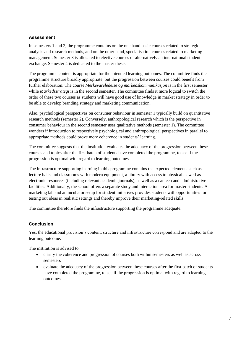#### **Assessment**

In semesters 1 and 2, the programme contains on the one hand basic courses related to strategic analysis and research methods, and on the other hand, specialisation courses related to marketing management. Semester 3 is allocated to elective courses or alternatively an international student exchange. Semester 4 is dedicated to the master thesis.

The programme content is appropriate for the intended learning outcomes. The committee finds the programme structure broadly appropriate, but the progression between courses could benefit from further elaboration: The course *Merkevareledelse og markedskommunikasjon* is in the first semester while *Markedsstrategi* is in the second semester. The committee finds it more logical to switch the order of these two courses as students will have good use of knowledge in market strategy in order to be able to develop branding strategy and marketing communication.

Also, psychological perspectives on consumer behaviour in semester 1 typically build on quantitative research methods (semester 2). Conversely, anthropological research which is the perspective in consumer behaviour in the second semester uses qualitative methods (semester 1). The committee wonders if introduction to respectively psychological and anthropological perspectives in parallel to appropriate methods could prove more coherence in students' learning.

The committee suggests that the institution evaluates the adequacy of the progression between these courses and topics after the first batch of students have completed the programme, to see if the progression is optimal with regard to learning outcomes.

The infrastructure supporting learning in this programme contains the expected elements such as lecture halls and classrooms with modern equipment, a library with access to physical as well as electronic resources (including relevant academic journals), as well as a canteen and administrative facilities. Additionally, the school offers a separate study and interaction area for master students. A marketing lab and an incubator setup for student initiatives provides students with opportunities for testing out ideas in realistic settings and thereby improve their marketing-related skills.

The committee therefore finds the infrastructure supporting the programme adequate.

#### **Conclusion**

Yes, the educational provision's content, structure and infrastructure correspond and are adapted to the learning outcome.

The institution is advised to:

- clarify the coherence and progression of courses both within semesters as well as across semesters
- evaluate the adequacy of the progression between these courses after the first batch of students have completed the programme, to see if the progression is optimal with regard to learning outcomes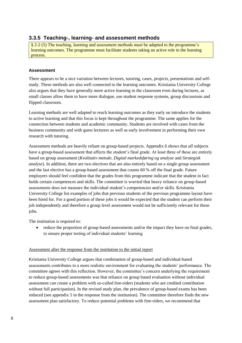# **3.3.5 Teaching-, learning- and assessment methods**

§ 2-2 (5) The teaching, learning and assessment methods must be adapted to the programme's learning outcomes. The programme must facilitate students taking an active role in the learning process.

#### **Assessment**

There appears to be a nice variation between lectures, tutoring, cases, projects, presentations and selfstudy. These methods are also well connected to the learning outcomes. Kristiania University College also argues that they have generally more active learning in the classroom even during lectures, as small classes allow them to have more dialogue, use student response systems, group discussions and flipped classroom.

Learning methods are well adapted to reach learning outcomes as they early on introduce the students to active learning and that this focus is kept throughout the programme. The same applies for the connection between students and academic community. Students are involved with cases from the business community and with guest lecturers as well as early involvement in performing their own research with tutoring.

Assessment methods are heavily reliant on group-based projects. Appendix 6 shows that *all* subjects have a group-based assessment that affects the student's final grade. At least three of these are entirely based on group assessment (*Kvalitativ metode*, *Digital markedsføring og analyse* and *Strategisk analyse*). In addition, there are two electives that are also entirely based on a single group assessment and the last elective has a group-based assessment that counts 60 % off the final grade. Future employers should feel confident that the grades from this programme indicate that the student in fact holds certain competences and skills. The committee is worried that heavy reliance on group-based assessments does not measure the individual student's competencies and/or skills. Kristiania University College list examples of jobs that previous students of the previous programme layout have been hired for. For a good portion of these jobs it would be expected that the student can perform their job independently and therefore a group level assessment would not be sufficiently relevant for these jobs.

The institution is required to:

• reduce the proportion of group-based assessments and/or the impact they have on final grades, to ensure proper testing of individual students' learning

#### Assessment after the response from the institution to the initial report

Kristiania University College argues that combination of group-based and individual-based assessments contributes to a more realistic environment for evaluating the students' performance. The committee agrees with this reflection. However, the committee's concern underlying the requirement to reduce group-based assessments was that reliance on group based evaluation without individual assessment can create a problem with so-called free-riders (students who are credited contribution without full participation). In the revised study plan, the prevalence of group-based exams has been reduced (see appendix 5 in the response from the institution). The committee therefore finds the new assessment plan satisfactory. To reduce potential problems with free-riders, we recommend that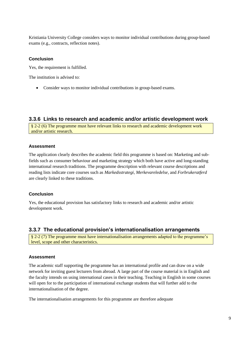Kristiania University College considers ways to monitor individual contributions during group-based exams (e.g., contracts, reflection notes).

#### **Conclusion**

Yes, the requirement is fulfilled.

The institution is advised to:

• Consider ways to monitor individual contributions in group-based exams.

# **3.3.6 Links to research and academic and/or artistic development work**

§ 2-2 (6) The programme must have relevant links to research and academic development work and/or artistic research.

#### **Assessment**

The application clearly describes the academic field this programme is based on: Marketing and subfields such as consumer behaviour and marketing strategy which both have active and long-standing international research traditions. The programme description with relevant course descriptions and reading lists indicate core courses such as *Markedsstrategi*, *Merkevareledelse*, and *Forbrukeratferd* are clearly linked to these traditions.

#### **Conclusion**

Yes, the educational provision has satisfactory links to research and academic and/or artistic development work.

# **3.3.7 The educational provision's internationalisation arrangements**

§ 2-2 (7) The programme must have internationalisation arrangements adapted to the programme's level, scope and other characteristics.

#### **Assessment**

The academic staff supporting the programme has an international profile and can draw on a wide network for inviting guest lecturers from abroad. A large part of the course material is in English and the faculty intends on using international cases in their teaching. Teaching in English in some courses will open for to the participation of international exchange students that will further add to the internationalisation of the degree.

The internationalisation arrangements for this programme are therefore adequate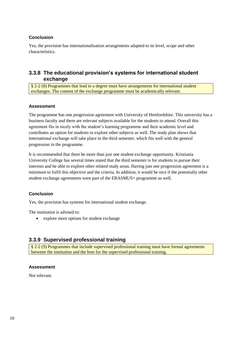#### **Conclusion**

Yes, the provision has internationalisation arrangements adapted to its level, scope and other characteristics.

# **3.3.8 The educational provision's systems for international student exchange**

§ 2-2 (8) Programmes that lead to a degree must have arrangements for international student exchanges. The content of the exchange programme must be academically relevant.

#### **Assessment**

The programme has one progression agreement with University of Hertfordshire. This university has a business faculty and there are relevant subjects available for the students to attend. Overall this agreement fits in nicely with the student's learning programme and their academic level and contributes an option for students to explore other subjects as well. The study plan shows that international exchange will take place in the third semester, which fits well with the general progression in the programme.

It is recommended that there be more than just one student exchange opportunity. Kristiania University College has several times stated that the third semester is for students to pursue their interests and be able to explore other related study areas. Having just one progression agreement is a minimum to fulfil this objective and the criteria. In addition, it would be nice if the potentially other student exchange agreements were part of the ERASMUS+ programme as well.

#### **Conclusion**

Yes, the provision has systems for international student exchange.

The institution is advised to:

• explore more options for student exchange

# **3.3.9 Supervised professional training**

§ 2-2 (9) Programmes that include supervised professional training must have formal agreements between the institution and the host for the supervised professional training.

#### **Assessment**

Not relevant.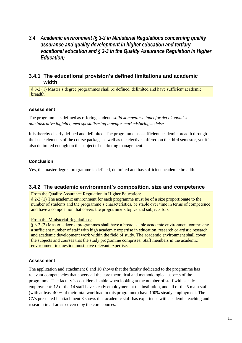# <span id="page-14-0"></span>*3.4 Academic environment (§ 3-2 in Ministerial Regulations concerning quality assurance and quality development in higher education and tertiary vocational education and § 2-3 in the Quality Assurance Regulation in Higher Education)*

# **3.4.1 The educational provision's defined limitations and academic width**

§ 3-2 (1) Master's degree programmes shall be defined, delimited and have sufficient academic breadth.

# **Assessment**

The programme is defined as offering students *solid kompetanse innenfor det økonomiskadministrative fagfeltet, med spesialisering innenfor markedsføringsledelse*.

It is thereby clearly defined and delimited. The programme has sufficient academic breadth through the basic elements of the course package as well as the electives offered on the third semester, yet it is also delimited enough on the subject of marketing management.

#### **Conclusion**

Yes, the master degree programme is defined, delimited and has sufficient academic breadth.

# **3.4.2 The academic environment's composition, size and competence**

From the Quality Assurance Regulation in Higher Education:

§ 2-3 (1) The academic environment for each programme must be of a size proportionate to the number of students and the programme's characteristics, be stable over time in terms of competence and have a composition that covers the programme's topics and subjects.fors

From the Ministerial Regulations:

§ 3-2 (2) Master's degree programmes shall have a broad, stable academic environment comprising a sufficient number of staff with high academic expertise in education, research or artistic research and academic development work within the field of study. The academic environment shall cover the subjects and courses that the study programme comprises. Staff members in the academic environment in question must have relevant expertise.

# **Assessment**

The application and attachment 8 and 10 shows that the faculty dedicated to the programme has relevant competencies that covers all the core theoretical and methodological aspects of the programme. The faculty is considered stable when looking at the number of staff with steady employment: 12 of the 14 staff have steady employment at the institution, and all of the 5 main staff (with at least 40 % of their total workload in this programme) have 100% steady employment. The CVs presented in attachment 8 shows that academic staff has experience with academic teaching and research in all areas covered by the core courses.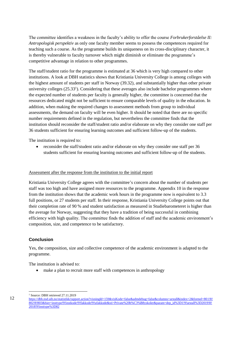The committee identifies a weakness in the faculty's ability to offer the course *Forbrukerforståelse II: Antropologisk perspektiv* as only one faculty member seems to possess the competences required for teaching such a course. As the programme builds its uniqueness on its cross-disciplinary character, it is thereby vulnerable to faculty turnover which might diminish or eliminate the programme's competitive advantage in relation to other programmes.

The staff/student ratio for the programme is estimated at 36 which is very high compared to other institutions. A look at DBH statistics shows that Kristiania University College is among colleges with the highest amount of students per staff in Norway (39.32), and substantially higher than other private university colleges (25.33<sup>1</sup>). Considering that these averages also include bachelor programmes where the expected number of students per faculty is generally higher, the committee is concerned that the resources dedicated might not be sufficient to ensure comparable levels of quality in the education. In addition, when making the required changes to assessment methods from group to individual assessments, the demand on faculty will be even higher. It should be noted that there are no specific number requirements defined in the regulation, but nevertheless the committee finds that the institution should reconsider the staff/student ratio and/or elaborate on why they consider one staff per 36 students sufficient for ensuring learning outcomes and sufficient follow-up of the students.

The institution is required to:

• reconsider the staff/student ratio and/or elaborate on why they consider one staff per 36 students sufficient for ensuring learning outcomes and sufficient follow-up of the students.

#### Assessment after the response from the institution to the initial report

Kristiania University College agrees with the committee's concern about the number of students per staff was too high and have assigned more resources to the programme. Appendix 10 in the response from the institution shows that the academic work hours in the programme now is equivalent to 3.3 full positions, or 27 students per staff. In their response, Kristiania University College points out that their completion rate of 90 % and student satisfaction as measured in Studiebarometeret is higher than the average for Norway, suggesting that they have a tradition of being successful in combining efficiency with high quality. The committee finds the addition of staff and the academic environment's composition, size, and competence to be satisfactory.

#### **Conclusion**

Yes, the composition, size and collective competence of the academic environment is adapted to the programme.

The institution is advised to:

• make a plan to recruit more staff with competences in anthropology

l <sup>1</sup> Source: DBH retrieved 27.11.2019

[https://dbh.nsd.uib.no/statistikk/rapport.action?visningId=159&visKode=false&admdebug=false&columns=arstall&index=2&formel=801!8!](https://dbh.nsd.uib.no/statistikk/rapport.action?visningId=159&visKode=false&admdebug=false&columns=arstall&index=2&formel=801!8!802!8!803&hier=insttype!9!instkode!9!fakkode!9!ufakkode&sti=Private%20h%C3%B8yskoler¶m=dep_id%3D1!9!arstall%3D2019!8!2018!9!insttype%3D82) 802!81803&hier=insttype!9!instkode!9!fakkode!9!ufakkode&sti=Private%20h%C3%B8yskoler&param=dep\_id%3D1!9!arstall%3D2019!8! [2018!9!insttype%3D82](https://dbh.nsd.uib.no/statistikk/rapport.action?visningId=159&visKode=false&admdebug=false&columns=arstall&index=2&formel=801!8!802!8!803&hier=insttype!9!instkode!9!fakkode!9!ufakkode&sti=Private%20h%C3%B8yskoler¶m=dep_id%3D1!9!arstall%3D2019!8!2018!9!insttype%3D82)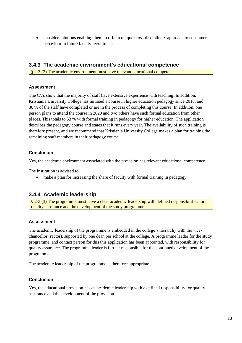• consider solutions enabling them to offer a unique cross-disciplinary approach to consumer behaviour in future faculty recruitment

# **3.4.3 The academic environment's educational competence**

§ 2-3 (2) The academic environment must have relevant educational competence.

#### **Assessment**

The CVs show that the majority of staff have extensive experience with teaching. In addition, Kristiania University College has initiated a course in higher education pedagogy since 2018, and 30 % of the staff have completed or are in the process of completing this course. In addition, one person plans to attend the course in 2020 and two others have such formal education from other places. This totals to 53 % with formal training in pedagogy for higher education. The application describes the pedagogy course and states that it runs every year. The availability of such training is therefore present, and we recommend that Kristiania University College makes a plan for training the remaining staff members in their pedagogy course.

# **Conclusion**

Yes, the academic environment associated with the provision has relevant educational competence.

The institution is advised to:

• make a plan for increasing the share of faculty with formal training in pedagogy

# **3.4.4 Academic leadership**

§ 2-3 (3) The programme must have a clear academic leadership with defined responsibilities for quality assurance and the development of the study programme.

#### **Assessment**

The academic leadership of the programme is embedded in the college's hierarchy with the vicechancellor (rector), supported by one dean per school at the college. A programme leader for the study programme, and contact person for this this application has been appointed, with responsibility for quality assurance. The programme leader is further responsible for the continued development of the programme.

The academic leadership of the programme is therefore appropriate.

#### **Conclusion**

Yes, the educational provision has an academic leadership with a defined responsibility for quality assurance and the development of the provision.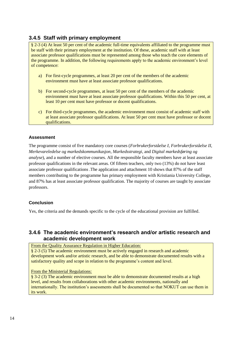# **3.4.5 Staff with primary employment**

§ 2-3 (4) At least 50 per cent of the academic full-time equivalents affiliated to the programme must be staff with their primary employment at the institution. Of these, academic staff with at least associate professor qualifications must be represented among those who teach the core elements of the programme. In addition, the following requirements apply to the academic environment's level of competence:

- a) For first-cycle programmes, at least 20 per cent of the members of the academic environment must have at least associate professor qualifications.
- b) For second-cycle programmes, at least 50 per cent of the members of the academic environment must have at least associate professor qualifications. Within this 50 per cent, at least 10 per cent must have professor or docent qualifications.
- c) For third-cycle programmes, the academic environment must consist of academic staff with at least associate professor qualifications. At least 50 per cent must have professor or docent qualifications.

#### **Assessment**

The programme consist of five mandatory core courses (*Forbrukerforståelse I*, *Forbrukerforståelse II*, *Merkevareledelse og markedskommunikasjon*, *Markedsstrategi*, and *Digital markedsføring og analyse*), and a number of elective courses. All the responsible faculty members have at least associate professor qualifications in the relevant areas. Of fifteen teachers, only two (13%) do not have least associate professor qualifications .The application and attachment 10 shows that 87% of the staff members contributing to the programme has primary employment with Kristiania University College, and 87% has at least associate professor qualification. The majority of courses are taught by associate professors.

#### **Conclusion**

Yes, the criteria and the demands specific to the cycle of the educational provision are fulfilled.

# **3.4.6 The academic environment's research and/or artistic research and academic development work**

From the Quality Assurance Regulation in Higher Education:

§ 2-3 (5) The academic environment must be actively engaged in research and academic development work and/or artistic research, and be able to demonstrate documented results with a satisfactory quality and scope in relation to the programme's content and level.

#### From the Ministerial Regulations:

§ 3-2 (3) The academic environment must be able to demonstrate documented results at a high level, and results from collaborations with other academic environments, nationally and internationally. The institution's assessments shall be documented so that NOKUT can use them in its work.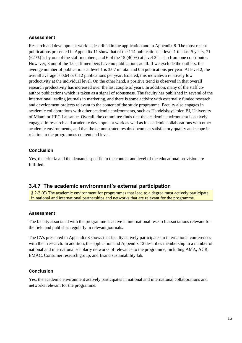#### **Assessment**

Research and development work is described in the application and in Appendix 8. The most recent publications presented in Appendix 11 show that of the 114 publications at level 1 the last 5 years, 71 (62 %) is by one of the staff members, and 6 of the 15 (40 %) at level 2 is also from one contributor. However, 3 out of the 15 staff members have no publications at all. If we exclude the outliers, the average number of publications at level 1 is 3.07 in total and 0.6 publications per year. At level 2, the overall average is 0.64 or 0.12 publications per year. Isolated, this indicates a relatively low productivity at the individual level. On the other hand, a positive trend is observed in that overall research productivity has increased over the last couple of years. In addition, many of the staff coauthor publications which is taken as a signal of robustness. The faculty has published in several of the international leading journals in marketing, and there is some activity with externally funded research and development projects relevant to the content of the study programme. Faculty also engages in academic collaborations with other academic environments, such as Handelshøyskolen BI, University of Miami or HEC Lausanne. Overall, the committee finds that the academic environment is actively engaged in research and academic development work as well as in academic collaborations with other academic environments, and that the demonstrated results document satisfactory quality and scope in relation to the programmes content and level.

#### **Conclusion**

Yes, the criteria and the demands specific to the content and level of the educational provision are fulfilled.

# **3.4.7 The academic environment's external participation**

§ 2-3 (6) The academic environment for programmes that lead to a degree must actively participate in national and international partnerships and networks that are relevant for the programme.

#### **Assessment**

The faculty associated with the programme is active in international research associations relevant for the field and publishes regularly in relevant journals.

The CVs presented in Appendix 8 shows that faculty actively participates in international conferences with their research. In addition, the application and Appendix 12 describes membership in a number of national and international scholarly networks of relevance to the programme, including AMA, ACR, EMAC, Consumer research group, and Brand sustainability lab.

#### **Conclusion**

Yes, the academic environment actively participates in national and international collaborations and networks relevant for the programme.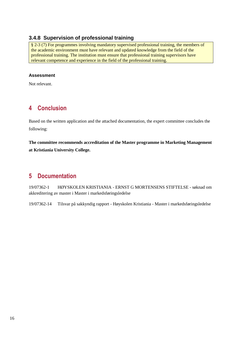# **3.4.8 Supervision of professional training**

§ 2-3 (7) For programmes involving mandatory supervised professional training, the members of the academic environment must have relevant and updated knowledge from the field of the professional training. The institution must ensure that professional training supervisors have relevant competence and experience in the field of the professional training.

#### **Assessment**

<span id="page-19-0"></span>Not relevant.

# **4 Conclusion**

Based on the written application and the attached documentation, the expert committee concludes the following:

**The committee recommends accreditation of the Master programme in Marketing Management at Kristiania University College.** 

# <span id="page-19-1"></span>**5 Documentation**

19/07362-1 HØYSKOLEN KRISTIANIA - ERNST G MORTENSENS STIFTELSE - søknad om akkreditering av master i Master i markedsføringsledelse

19/07362-14 Tilsvar på sakkyndig rapport - Høyskolen Kristiania - Master i markedsføringsledelse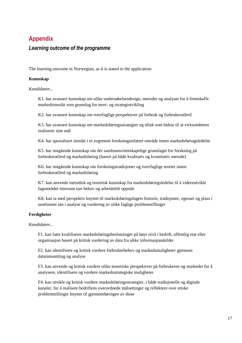# <span id="page-20-0"></span>**Appendix**

# *Learning outcome of the programme*

The learning outcome in Norwegian, as it is stated in the application:

#### **Kunnskap**

*Kandidaten...*

K1. har avansert kunnskap om ulike undersøkelsesdesign, metoder og analyser for å fremskaffe markedsinnsikt som grunnlag for teori- og strategiutvikling

K2. har avansert kunnskap om tverrfaglige perspektiver på forbruk og forbrukeratferd

K3. har avansert kunnskap om markedsføringsstrategier og tiltak som bidrar til at virksomheten realiserer sine mål

K4. har spesialisert innsikt i et avgrenset forskningsrelatert område innen markedsføringsledelse

K5. har inngående kunnskap om det samfunnsvitenskapelige grunnlaget for forskning på forbrukeratferd og markedsføring (basert på både kvalitativ og kvantitativ metode)

K6. har inngående kunnskap om forskningstradisjoner og tverrfaglige teorier innen forbrukeratferd og markedsføring

K7. kan anvende metodisk og teoretisk kunnskap fra markedsføringsledelse til å videreutvikle fagområdet ettersom nye behov og arbeidsfelt oppstår

K8. kan ta med perspektiv knyttet til markedsføringsfagets historie, tradisjoner, egenart og plass i samfunnet inn i analyse og vurdering av ulike faglige problemstillinger

# **Ferdigheter**

*Kandidaten...*

F1. kan fatte kvalifiserte markedsføringsbeslutninger på høyt nivå i bedrift, offentlig etat eller organisasjon basert på kritisk vurdering av data fra ulike informasjonskilder

F2. kan identifisere og kritisk vurdere forbrukerbehov og markedsmuligheter gjennom datainnsamling og analyse

F3. kan anvende og kritisk vurdere ulike teoretiske perspektiver på forbrukeren og markedet for å analysere, identifisere og vurdere markedsstrategiske muligheter

F4. kan utvikle og kritisk vurdere markedsføringsstrategier, i både tradisjonelle og digitale kanaler, for å realisere bedriftens overordnede målsettinger og reflektere over etiske problemstillinger knyttet til gjennomføringen av disse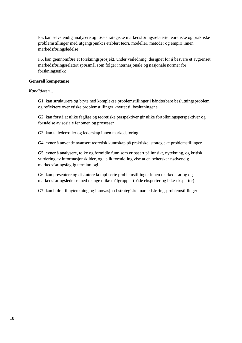F5. kan selvstendig analysere og løse strategiske markedsføringsrelaterte teoretiske og praktiske problemstillinger med utgangspunkt i etablert teori, modeller, metoder og empiri innen markedsføringsledelse

F6. kan gjennomføre et forskningsprosjekt, under veiledning, designet for å besvare et avgrenset markedsføringsrelatert spørsmål som følger internasjonale og nasjonale normer for forskningsetikk

#### **Generell kompetanse**

*Kandidaten...*

G1. kan strukturere og bryte ned komplekse problemstillinger i håndterbare beslutningsproblem og reflektere over etiske problemstillinger knyttet til beslutningene

G2. kan forstå at ulike faglige og teoretiske perspektiver gir ulike fortolkningsperspektiver og forståelse av sosiale fenomen og prosesser

G3. kan ta lederroller og lederskap innen markedsføring

G4. evner å anvende avansert teoretisk kunnskap på praktiske, strategiske problemstillinger

G5. evner å analysere, tolke og formidle funn som er basert på innsikt, nytekning, og kritisk vurdering av informasjonskilder, og i slik formidling vise at en behersker nødvendig markedsføringsfaglig terminologi

G6. kan presentere og diskutere kompliserte problemstillinger innen markedsføring og markedsføringsledelse med mange ulike målgrupper (både eksperter og ikke-eksperter)

G7. kan bidra til nytenkning og innovasjon i strategiske markedsføringsproblemstillinger